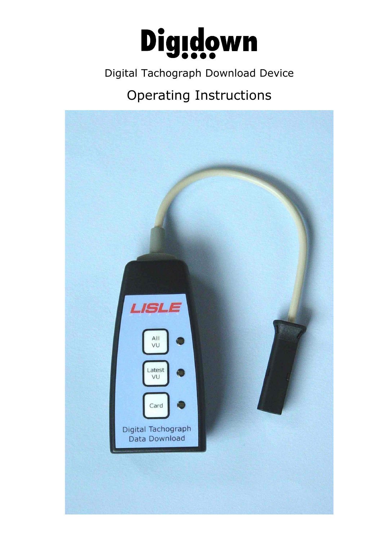

### Digital Tachograph Download Device

# Operating Instructions

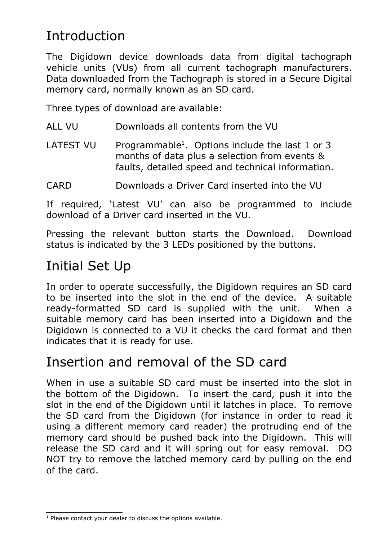## Introduction

The Digidown device downloads data from digital tachograph vehicle units (VUs) from all current tachograph manufacturers. Data downloaded from the Tachograph is stored in a Secure Digital memory card, normally known as an SD card.

Three types of download are available:

- ALL VU Downloads all contents from the VU
- LATEST VU Programmable<sup>[1](#page-1-0)</sup>. Options include the last 1 or 3 months of data plus a selection from events & faults, detailed speed and technical information.
- CARD Downloads a Driver Card inserted into the VU

If required, 'Latest VU' can also be programmed to include download of a Driver card inserted in the VU.

Pressing the relevant button starts the Download. Download status is indicated by the 3 LEDs positioned by the buttons.

## Initial Set Up

In order to operate successfully, the Digidown requires an SD card to be inserted into the slot in the end of the device. A suitable ready-formatted SD card is supplied with the unit. When a suitable memory card has been inserted into a Digidown and the Digidown is connected to a VU it checks the card format and then indicates that it is ready for use.

### Insertion and removal of the SD card

When in use a suitable SD card must be inserted into the slot in the bottom of the Digidown. To insert the card, push it into the slot in the end of the Digidown until it latches in place. To remove the SD card from the Digidown (for instance in order to read it using a different memory card reader) the protruding end of the memory card should be pushed back into the Digidown. This will release the SD card and it will spring out for easy removal. DO NOT try to remove the latched memory card by pulling on the end of the card.

<span id="page-1-0"></span><sup>&</sup>lt;sup>1</sup> Please contact your dealer to discuss the options available.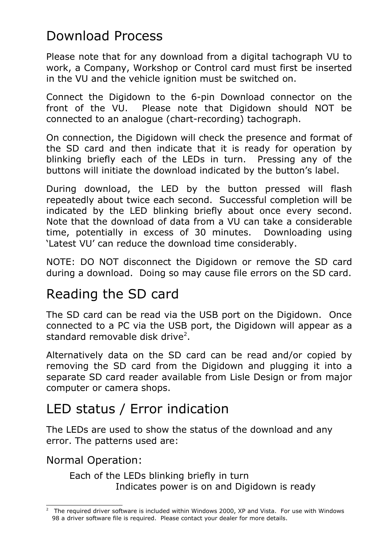# Download Process

Please note that for any download from a digital tachograph VU to work, a Company, Workshop or Control card must first be inserted in the VU and the vehicle ignition must be switched on.

Connect the Digidown to the 6-pin Download connector on the front of the VU. Please note that Digidown should NOT be connected to an analogue (chart-recording) tachograph.

On connection, the Digidown will check the presence and format of the SD card and then indicate that it is ready for operation by blinking briefly each of the LEDs in turn. Pressing any of the buttons will initiate the download indicated by the button's label.

During download, the LED by the button pressed will flash repeatedly about twice each second. Successful completion will be indicated by the LED blinking briefly about once every second. Note that the download of data from a VU can take a considerable time, potentially in excess of 30 minutes. Downloading using 'Latest VU' can reduce the download time considerably.

NOTE: DO NOT disconnect the Digidown or remove the SD card during a download. Doing so may cause file errors on the SD card.

### Reading the SD card

The SD card can be read via the USB port on the Digidown. Once connected to a PC via the USB port, the Digidown will appear as a standard removable disk drive<sup>[2](#page-2-0)</sup>.

Alternatively data on the SD card can be read and/or copied by removing the SD card from the Digidown and plugging it into a separate SD card reader available from Lisle Design or from major computer or camera shops.

## LED status / Error indication

The LEDs are used to show the status of the download and any error. The patterns used are:

Normal Operation:

Each of the LEDs blinking briefly in turn Indicates power is on and Digidown is ready

<span id="page-2-0"></span> $2$  The required driver software is included within Windows 2000, XP and Vista. For use with Windows 98 a driver software file is required. Please contact your dealer for more details.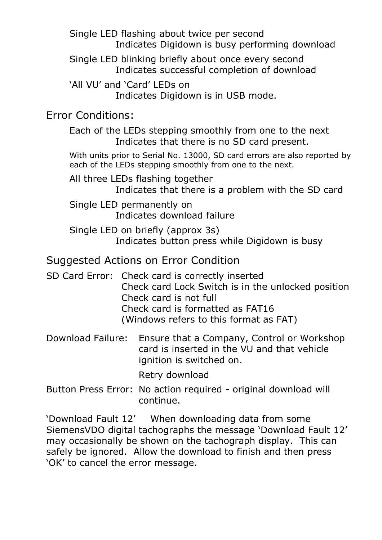Single LED flashing about twice per second Indicates Digidown is busy performing download

Single LED blinking briefly about once every second Indicates successful completion of download

'All VU' and 'Card' LEDs on Indicates Digidown is in USB mode.

#### Error Conditions:

Each of the LEDs stepping smoothly from one to the next Indicates that there is no SD card present.

With units prior to Serial No. 13000, SD card errors are also reported by each of the LEDs stepping smoothly from one to the next.

All three LEDs flashing together Indicates that there is a problem with the SD card

Single LED permanently on Indicates download failure

Single LED on briefly (approx 3s) Indicates button press while Digidown is busy

#### Suggested Actions on Error Condition

- SD Card Error: Check card is correctly inserted Check card Lock Switch is in the unlocked position Check card is not full Check card is formatted as FAT16 (Windows refers to this format as FAT)
- Download Failure: Ensure that a Company, Control or Workshop card is inserted in the VU and that vehicle ignition is switched on.

Retry download

Button Press Error: No action required - original download will continue.

'Download Fault 12' When downloading data from some SiemensVDO digital tachographs the message 'Download Fault 12' may occasionally be shown on the tachograph display. This can safely be ignored. Allow the download to finish and then press 'OK' to cancel the error message.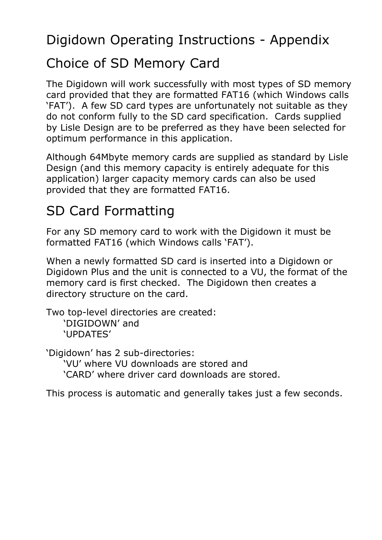Digidown Operating Instructions - Appendix

## Choice of SD Memory Card

The Digidown will work successfully with most types of SD memory card provided that they are formatted FAT16 (which Windows calls 'FAT'). A few SD card types are unfortunately not suitable as they do not conform fully to the SD card specification. Cards supplied by Lisle Design are to be preferred as they have been selected for optimum performance in this application.

Although 64Mbyte memory cards are supplied as standard by Lisle Design (and this memory capacity is entirely adequate for this application) larger capacity memory cards can also be used provided that they are formatted FAT16.

# SD Card Formatting

For any SD memory card to work with the Digidown it must be formatted FAT16 (which Windows calls 'FAT').

When a newly formatted SD card is inserted into a Digidown or Digidown Plus and the unit is connected to a VU, the format of the memory card is first checked. The Digidown then creates a directory structure on the card.

Two top-level directories are created: 'DIGIDOWN' and 'UPDATES'

'Digidown' has 2 sub-directories: 'VU' where VU downloads are stored and 'CARD' where driver card downloads are stored.

This process is automatic and generally takes just a few seconds.